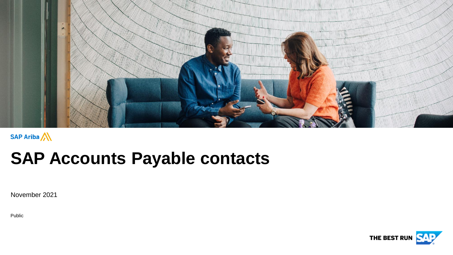

## SAP Ariba

## **SAP Accounts Payable contacts**

November 2021

Public

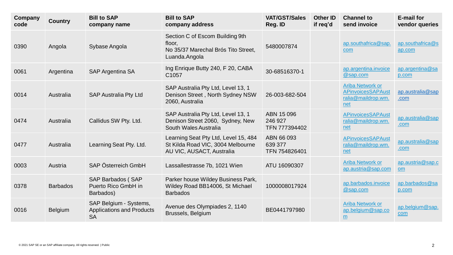| <b>Company</b><br>code | <b>Country</b>  | <b>Bill to SAP</b><br>company name                                      | <b>Bill to SAP</b><br>company address                                                                  | <b>VAT/GST/Sales</b><br>Reg. ID        | <b>Other ID</b><br>if reg'd | <b>Channel to</b><br>send invoice                                                | <b>E-mail for</b><br>vendor queries |
|------------------------|-----------------|-------------------------------------------------------------------------|--------------------------------------------------------------------------------------------------------|----------------------------------------|-----------------------------|----------------------------------------------------------------------------------|-------------------------------------|
| 0390                   | Angola          | Sybase Angola                                                           | Section C of Escom Building 9th<br>floor,<br>No 35/37 Marechal Brós Tito Street,<br>Luanda.Angola      | 5480007874                             |                             | ap.southafrica@sap.<br>com                                                       | ap.southafrica@s<br>ap.com          |
| 0061                   | Argentina       | <b>SAP Argentina SA</b>                                                 | Ing Enrique Butty 240, F 20, CABA<br>C <sub>1057</sub>                                                 | 30-68516370-1                          |                             | ap.argentina.invoice<br>@sap.com                                                 | ap.argentina@sa<br>p.com            |
| 0014                   | Australia       | <b>SAP Australia Pty Ltd</b>                                            | SAP Australia Pty Ltd, Level 13, 1<br>Denison Street, North Sydney NSW<br>2060, Australia              | 26-003-682-504                         |                             | <b>Ariba Network or</b><br><b>APinvoicesSAPAust</b><br>ralia@maildrop.wm.<br>net | ap.australia@sap<br>.com            |
| 0474                   | Australia       | Callidus SW Pty. Ltd.                                                   | SAP Australia Pty Ltd, Level 13, 1<br>Denison Street 2060, Sydney, New<br>South Wales Australia        | ABN 15096<br>246 927<br>TFN 777394402  |                             | <b>APinvoicesSAPAust</b><br>ralia@maildrop.wm.<br>net                            | ap.australia@sap<br>.com            |
| 0477                   | Australia       | Learning Seat Pty. Ltd.                                                 | Learning Seat Pty Ltd, Level 15, 484<br>St Kilda Road VIC, 3004 Melbourne<br>AU VIC, AUSACT, Australia | ABN 66 093<br>639 377<br>TFN 754826401 |                             | <b>APinvoicesSAPAust</b><br>ralia@maildrop.wm.<br>net                            | ap.australia@sap<br>.com            |
| 0003                   | Austria         | SAP Österreich GmbH                                                     | Lassallestrasse 7b, 1021 Wien                                                                          | ATU 16090307                           |                             | <b>Ariba Network or</b><br>ap.austria@sap.com                                    | ap.austria@sap.c<br><b>om</b>       |
| 0378                   | <b>Barbados</b> | <b>SAP Barbados (SAP</b><br>Puerto Rico GmbH in<br>Barbados)            | Parker house Wildey Business Park,<br>Wildey Road BB14006, St Michael<br><b>Barbados</b>               | 1000008017924                          |                             | ap.barbados.invoice<br>@sap.com                                                  | ap.barbados@sa<br>p.com             |
| 0016                   | <b>Belgium</b>  | SAP Belgium - Systems,<br><b>Applications and Products</b><br><b>SA</b> | Avenue des Olympiades 2, 1140<br>Brussels, Belgium                                                     | BE0441797980                           |                             | Ariba Network or<br>ap.belgium@sap.co<br>m                                       | ap.belgium@sap.<br>com              |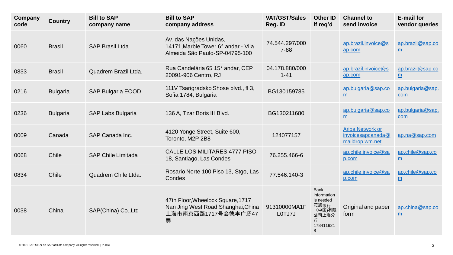| <b>Company</b><br>code | <b>Country</b>  | <b>Bill to SAP</b><br>company name | <b>Bill to SAP</b><br>company address                                                                | <b>VAT/GST/Sales</b><br>Reg. ID | <b>Other ID</b><br>if req'd                                                               | <b>Channel to</b><br>send invoice                        | <b>E-mail for</b><br>vendor queries |
|------------------------|-----------------|------------------------------------|------------------------------------------------------------------------------------------------------|---------------------------------|-------------------------------------------------------------------------------------------|----------------------------------------------------------|-------------------------------------|
| 0060                   | <b>Brasil</b>   | SAP Brasil Ltda.                   | Av. das Nações Unidas,<br>14171, Marble Tower 6° andar - Vila<br>Almeida São Paulo-SP-04795-100      | 74.544.297/000<br>$7 - 88$      |                                                                                           | ap.brazil.invoice@s<br>ap.com                            | ap.brazil@sap.co<br>m               |
| 0833                   | <b>Brasil</b>   | Quadrem Brazil Ltda.               | Rua Candelária 65 15° andar, CEP<br>20091-906 Centro, RJ                                             | 04.178.880/000<br>$1 - 41$      |                                                                                           | ap.brazil.invoice@s<br>ap.com                            | ap.brazil@sap.co<br>m               |
| 0216                   | <b>Bulgaria</b> | <b>SAP Bulgaria EOOD</b>           | 111V Tsarigradsko Shose blvd., fl 3,<br>Sofia 1784, Bulgaria                                         | BG130159785                     |                                                                                           | ap.bulgaria@sap.co<br>m                                  | ap.bulgaria@sap.<br>com             |
| 0236                   | <b>Bulgaria</b> | <b>SAP Labs Bulgaria</b>           | 136 A, Tzar Boris III Blvd.                                                                          | BG130211680                     |                                                                                           | ap.bulgaria@sap.co<br>m                                  | ap.bulgaria@sap.<br>com             |
| 0009                   | Canada          | SAP Canada Inc.                    | 4120 Yonge Street, Suite 600,<br>Toronto, M2P 2B8                                                    | 124077157                       |                                                                                           | Ariba Network or<br>invoicesapcanada@<br>maildrop.wm.net | ap.na@sap.com                       |
| 0068                   | Chile           | <b>SAP Chile Limitada</b>          | CALLE LOS MILITARES 4777 PISO<br>18, Santiago, Las Condes                                            | 76.255.466-6                    |                                                                                           | ap.chile.invoice@sa<br>p.com                             | ap.chile@sap.co<br>m                |
| 0834                   | Chile           | Quadrem Chile Ltda.                | Rosario Norte 100 Piso 13, Stgo, Las<br>Condes                                                       | 77.546.140-3                    |                                                                                           | ap.chile.invoice@sa<br>p.com                             | ap.chile@sap.co<br>m                |
| 0038                   | China           | SAP(China) Co., Ltd                | 47th Floor, Wheelock Square, 1717<br>Nan Jing West Road, Shanghai, China<br>上海市南京西路1717号会德丰广场47<br>层 | 91310000MA1F<br>LOTJ7J          | <b>Bank</b><br>information<br>is needed<br>花旗银行<br>(中国)有限<br>公司上海分<br>行<br>178411921<br>8 | Original and paper<br>form                               | ap.china@sap.co<br>m                |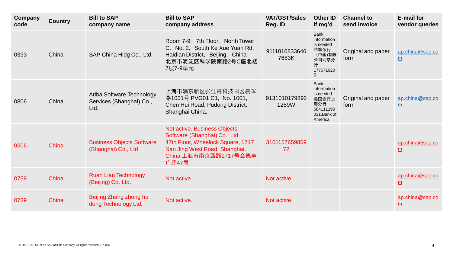| Company<br>code | <b>Country</b> | <b>Bill to SAP</b><br>company name                            | <b>Bill to SAP</b><br>company address                                                                                                                                | <b>VAT/GST/Sales</b><br>Reg. ID | <b>Other ID</b><br>if req'd                                                                            | <b>Channel to</b><br>send invoice | <b>E-mail for</b><br>vendor queries |
|-----------------|----------------|---------------------------------------------------------------|----------------------------------------------------------------------------------------------------------------------------------------------------------------------|---------------------------------|--------------------------------------------------------------------------------------------------------|-----------------------------------|-------------------------------------|
| 0393            | China          | SAP China HIdg Co., Ltd.                                      | Room 7-9, 7th Floor, North Tower<br>C, No. 2, South Ke Xue Yuan Rd,<br>Haidian District, Beijing, China<br>北京市海淀区科学院南路2号C座北楼<br>7层7-9单元                              | 9111010833646<br>7683K          | <b>Bank</b><br>information<br>is needed<br>花旗银行<br>(中国)有限<br>公司北京分<br>行<br>177571020<br>$\overline{5}$ | Original and paper<br>form        | ap.china@sap.co<br>m                |
| 0806            | China          | Ariba Software Technology<br>Services (Shanghai) Co.,<br>Ltd. | 上海市浦东新区张江高科技园区晨晖<br>路1001号 PVG01 C1, No. 1001,<br>Chen Hui Road, Pudong District,<br>Shanghai China.                                                                 | 9131010179892<br>1289W          | <b>Bank</b><br>information<br>is needed<br>美国银行上<br>海分行<br>684111190<br>031, Bank of<br>America        | Original and paper<br>form        | ap.china@sap.co<br>m                |
| 0606            | China          | <b>Business Objects Software</b><br>(Shanghai) Co., Ltd       | Not active. Business Objects<br>Software (Shanghai) Co., Ltd<br>47th Floor, Wheelock Square, 1717<br>Nan Jing West Road, Shanghai,<br>China 上海市南京西路1717号会德丰<br>广场47层 | 3101157659859<br>72             |                                                                                                        |                                   | ap.china@sap.co<br>$\underline{m}$  |
| 0738            | China          | <b>Ruan Lian Technology</b><br>(Beijing) Co. Ltd.             | Not active.                                                                                                                                                          | Not active.                     |                                                                                                        |                                   | ap.china@sap.co<br>m                |
| 0739            | China          | Beijing Zhang zhong hu<br>dong Technology Ltd.                | Not active.                                                                                                                                                          | Not active.                     |                                                                                                        |                                   | ap.china@sap.co<br>m                |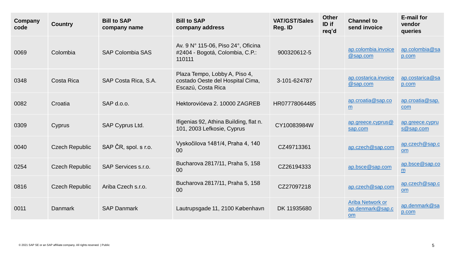| <b>Company</b><br>code | <b>Country</b>        | <b>Bill to SAP</b><br>company name | <b>Bill to SAP</b><br>company address                                                   | <b>VAT/GST/Sales</b><br>Reg. ID | <b>Other</b><br>ID if<br>req'd | <b>Channel to</b><br>send invoice          | <b>E-mail for</b><br>vendor<br>queries |
|------------------------|-----------------------|------------------------------------|-----------------------------------------------------------------------------------------|---------------------------------|--------------------------------|--------------------------------------------|----------------------------------------|
| 0069                   | Colombia              | <b>SAP Colombia SAS</b>            | Av. 9 N° 115-06, Piso 24°, Oficina<br>#2404 - Bogotá, Colombia, C.P.:<br>110111         | 900320612-5                     |                                | ap.colombia.invoice<br>@sap.com            | ap.colombia@sa<br>p.com                |
| 0348                   | Costa Rica            | SAP Costa Rica, S.A.               | Plaza Tempo, Lobby A, Piso 4,<br>costado Oeste del Hospital Cima,<br>Escazú, Costa Rica | 3-101-624787                    |                                | ap.costarica.invoice<br>@sap.com           | ap.costarica@sa<br>p.com               |
| 0082                   | Croatia               | SAP d.o.o.                         | Hektorovićeva 2. 10000 ZAGREB                                                           | HR07778064485                   |                                | ap.croatia@sap.co<br>m                     | ap.croatia@sap.<br>com                 |
| 0309                   | Cyprus                | SAP Cyprus Ltd.                    | Ifigenias 92, Athina Building, flat n.<br>101, 2003 Lefkosie, Cyprus                    | CY10083984W                     |                                | ap.greece.cyprus@<br>sap.com               | ap.greece.cypru<br>s@sap.com           |
| 0040                   | <b>Czech Republic</b> | SAP ČR, spol. s r.o.               | Vyskočilova 1481/4, Praha 4, 140<br>00                                                  | CZ49713361                      |                                | ap.czech@sap.com                           | ap.czech@sap.c<br><b>om</b>            |
| 0254                   | <b>Czech Republic</b> | SAP Services s.r.o.                | Bucharova 2817/11, Praha 5, 158<br>$00\,$                                               | CZ26194333                      |                                | ap.bsce@sap.com                            | ap.bsce@sap.co<br>m                    |
| 0816                   | <b>Czech Republic</b> | Ariba Czech s.r.o.                 | Bucharova 2817/11, Praha 5, 158<br>$00\,$                                               | CZ27097218                      |                                | ap.czech@sap.com                           | ap.czech@sap.c<br><b>om</b>            |
| 0011                   | <b>Danmark</b>        | <b>SAP Danmark</b>                 | Lautrupsgade 11, 2100 København                                                         | DK 11935680                     |                                | Ariba Network or<br>ap.denmark@sap.c<br>om | ap.denmark@sa<br>p.com                 |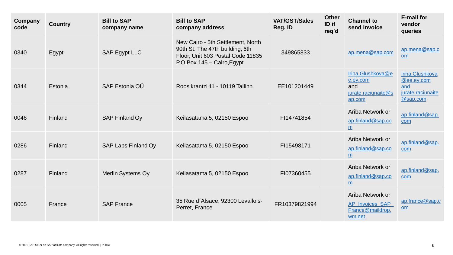| <b>Company</b><br>code | <b>Country</b> | <b>Bill to SAP</b><br>company name | <b>Bill to SAP</b><br>company address                                                                                                   | <b>VAT/GST/Sales</b><br>Reg. ID | <b>Other</b><br>ID if<br>req'd | <b>Channel to</b><br>send invoice                                     | <b>E-mail for</b><br>vendor<br>queries                                |
|------------------------|----------------|------------------------------------|-----------------------------------------------------------------------------------------------------------------------------------------|---------------------------------|--------------------------------|-----------------------------------------------------------------------|-----------------------------------------------------------------------|
| 0340                   | Egypt          | <b>SAP Egypt LLC</b>               | New Cairo - 5th Settlement, North<br>90th St. The 47th building, 6th<br>Floor, Unit 603 Postal Code 11835<br>P.O.Box 145 - Cairo, Egypt | 349865833                       |                                | ap.mena@sap.com                                                       | ap.mena@sap.c<br><b>om</b>                                            |
| 0344                   | Estonia        | SAP Estonia OÜ                     | Roosikrantzi 11 - 10119 Tallinn                                                                                                         | EE101201449                     |                                | Irina.Glushkova@e<br>e.ey.com<br>and<br>jurate.raciunaite@s<br>ap.com | Irina.Glushkova<br>@ee.ey.com<br>and<br>jurate.raciunaite<br>@sap.com |
| 0046                   | Finland        | SAP Finland Oy                     | Keilasatama 5, 02150 Espoo                                                                                                              | FI14741854                      |                                | Ariba Network or<br>ap.finland@sap.co<br>$\underline{m}$              | ap.finland@sap.<br>com                                                |
| 0286                   | Finland        | SAP Labs Finland Oy                | Keilasatama 5, 02150 Espoo                                                                                                              | FI15498171                      |                                | Ariba Network or<br>ap.finland@sap.co<br>$\underline{m}$              | ap.finland@sap.<br>com                                                |
| 0287                   | Finland        | Merlin Systems Oy                  | Keilasatama 5, 02150 Espoo                                                                                                              | FI07360455                      |                                | Ariba Network or<br>ap.finland@sap.co<br>m                            | ap.finland@sap.<br>com                                                |
| 0005                   | France         | <b>SAP France</b>                  | 35 Rue d'Alsace, 92300 Levallois-<br>Perret, France                                                                                     | FR10379821994                   |                                | Ariba Network or<br>AP_Invoices_SAP<br>France@maildrop.<br>wm.net     | ap.france@sap.c<br><b>om</b>                                          |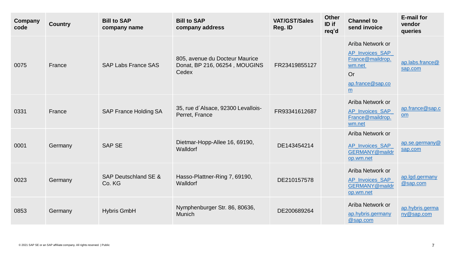| <b>Company</b><br>code | <b>Country</b> | <b>Bill to SAP</b><br>company name | <b>Bill to SAP</b><br>company address                                    | <b>VAT/GST/Sales</b><br>Reg. ID | <b>Other</b><br>ID if<br>req'd | <b>Channel to</b><br>send invoice                                                                               | <b>E-mail for</b><br>vendor<br>queries |
|------------------------|----------------|------------------------------------|--------------------------------------------------------------------------|---------------------------------|--------------------------------|-----------------------------------------------------------------------------------------------------------------|----------------------------------------|
| 0075                   | France         | <b>SAP Labs France SAS</b>         | 805, avenue du Docteur Maurice<br>Donat, BP 216, 06254, MOUGINS<br>Cedex | FR23419855127                   |                                | Ariba Network or<br>AP_Invoices_SAP_<br>France@maildrop.<br>wm.net<br>Or<br>ap.france@sap.co<br>$\underline{m}$ | ap.labs.france $@$<br>sap.com          |
| 0331                   | France         | <b>SAP France Holding SA</b>       | 35, rue d'Alsace, 92300 Levallois-<br>Perret, France                     | FR93341612687                   |                                | Ariba Network or<br>AP_Invoices_SAP<br>France@maildrop.<br>wm.net                                               | ap.france@sap.c<br>$om$                |
| 0001                   | Germany        | <b>SAP SE</b>                      | Dietmar-Hopp-Allee 16, 69190,<br>Walldorf                                | DE143454214                     |                                | Ariba Network or<br>AP_Invoices_SAP<br><b>GERMANY@maildr</b><br>op.wm.net                                       | ap.se.germany@<br>sap.com              |
| 0023                   | Germany        | SAP Deutschland SE &<br>Co. KG     | Hasso-Plattner-Ring 7, 69190,<br>Walldorf                                | DE210157578                     |                                | Ariba Network or<br>AP_Invoices_SAP<br><b>GERMANY@maildr</b><br>op.wm.net                                       | ap.lgd.germany<br>@sap.com             |
| 0853                   | Germany        | <b>Hybris GmbH</b>                 | Nymphenburger Str. 86, 80636,<br><b>Munich</b>                           | DE200689264                     |                                | Ariba Network or<br>ap.hybris.germany<br>@sap.com                                                               | ap.hybris.germa<br>ny@sap.com          |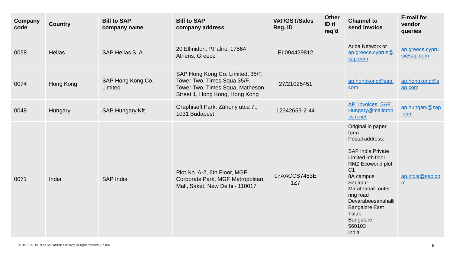| <b>Company</b><br>code | <b>Country</b> | <b>Bill to SAP</b><br>company name | <b>Bill to SAP</b><br>company address                                                                                                | <b>VAT/GST/Sales</b><br>Reg. ID | <b>Other</b><br>ID if<br>req'd | <b>Channel to</b><br>send invoice                                                                                                                                                                                                                                                                | <b>E-mail for</b><br>vendor<br>queries |
|------------------------|----------------|------------------------------------|--------------------------------------------------------------------------------------------------------------------------------------|---------------------------------|--------------------------------|--------------------------------------------------------------------------------------------------------------------------------------------------------------------------------------------------------------------------------------------------------------------------------------------------|----------------------------------------|
| 0058                   | <b>Hellas</b>  | SAP Hellas S. A.                   | 20 Ellinidon, P.Faliro, 17564<br>Athens, Greece                                                                                      | EL094429812                     |                                | Ariba Network or<br>ap.greece.cyprus@<br>sap.com                                                                                                                                                                                                                                                 | ap.greece.cypru<br>s@sap.com           |
| 0074                   | Hong Kong      | SAP Hong Kong Co.<br>Limited       | SAP Hong Kong Co. Limited, 35/F,<br>Tower Two, Times Squa 35/F,<br>Tower Two, Times Squa, Matheson<br>Street 1, Hong Kong, Hong Kong | 27/21025451                     |                                | ap.hongkong@sap.<br>com                                                                                                                                                                                                                                                                          | ap.hongkong@s<br>ap.com                |
| 0048                   | Hungary        | <b>SAP Hungary Kft</b>             | Graphisoft Park, Záhony utca 7.,<br>1031 Budapest                                                                                    | 12342659-2-44                   |                                | AP Invoices SAP<br>Hungary@maildrop<br>.wm.net                                                                                                                                                                                                                                                   | ap.hungary@sap<br>.com                 |
| 0071                   | India          | <b>SAP India</b>                   | Plot No. A-2, 6th Floor, MGF<br>Corporate Park, MGF Metropolitan<br>Mall, Saket, New Delhi - 110017                                  | 07AACCS7483E<br>1Z7             |                                | Original in paper<br>form<br>Postal address:<br><b>SAP India Private</b><br>Limited 6th floor<br>RMZ Ecoworld plot<br>C <sub>1</sub><br>8A campus<br>Sarjapur-<br>Marathahalli outer<br>ring road<br>Devarabeesanahalli<br><b>Bangalore East</b><br><b>Taluk</b><br>Bangalore<br>560103<br>India | ap.india@sap.co<br>m                   |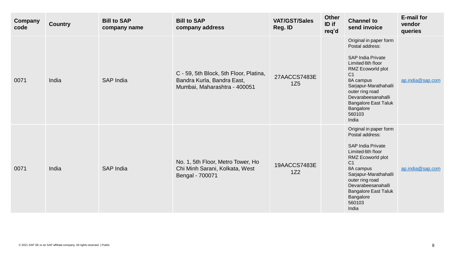| <b>Company</b><br>code | <b>Country</b> | <b>Bill to SAP</b><br>company name | <b>Bill to SAP</b><br>company address                                                                | <b>VAT/GST/Sales</b><br>Reg. ID | <b>Other</b><br>ID if<br>req'd | <b>Channel to</b><br>send invoice                                                                                                                                                                                                                                               | <b>E-mail for</b><br>vendor<br>queries |
|------------------------|----------------|------------------------------------|------------------------------------------------------------------------------------------------------|---------------------------------|--------------------------------|---------------------------------------------------------------------------------------------------------------------------------------------------------------------------------------------------------------------------------------------------------------------------------|----------------------------------------|
| 0071                   | India          | <b>SAP India</b>                   | C - 59, 5th Block, 5th Floor, Platina,<br>Bandra Kurla, Bandra East,<br>Mumbai, Maharashtra - 400051 | 27AACCS7483E<br>1Z5             |                                | Original in paper form<br>Postal address:<br><b>SAP India Private</b><br>Limited 6th floor<br>RMZ Ecoworld plot<br>C <sub>1</sub><br>8A campus<br>Sarjapur-Marathahalli<br>outer ring road<br>Devarabeesanahalli<br><b>Bangalore East Taluk</b><br>Bangalore<br>560103<br>India | ap.india@sap.com                       |
| 0071                   | India          | <b>SAP India</b>                   | No. 1, 5th Floor, Metro Tower, Ho<br>Chi Minh Sarani, Kolkata, West<br>Bengal - 700071               | 19AACCS7483E<br>1Z2             |                                | Original in paper form<br>Postal address:<br><b>SAP India Private</b><br>Limited 6th floor<br>RMZ Ecoworld plot<br>C <sub>1</sub><br>8A campus<br>Sarjapur-Marathahalli<br>outer ring road<br>Devarabeesanahalli<br><b>Bangalore East Taluk</b><br>Bangalore<br>560103<br>India | ap.india@sap.com                       |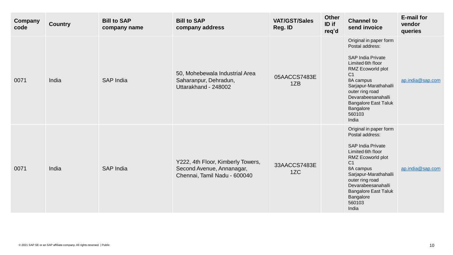| <b>Company</b><br>code | <b>Country</b> | <b>Bill to SAP</b><br>company name | <b>Bill to SAP</b><br>company address                                                          | <b>VAT/GST/Sales</b><br>Reg. ID | <b>Other</b><br>ID if<br>req'd | <b>Channel to</b><br>send invoice                                                                                                                                                                                                                                               | <b>E-mail for</b><br>vendor<br>queries |
|------------------------|----------------|------------------------------------|------------------------------------------------------------------------------------------------|---------------------------------|--------------------------------|---------------------------------------------------------------------------------------------------------------------------------------------------------------------------------------------------------------------------------------------------------------------------------|----------------------------------------|
| 0071                   | India          | <b>SAP India</b>                   | 50, Mohebewala Industrial Area<br>Saharanpur, Dehradun,<br>Uttarakhand - 248002                | 05AACCS7483E<br>1ZB             |                                | Original in paper form<br>Postal address:<br><b>SAP India Private</b><br>Limited 6th floor<br>RMZ Ecoworld plot<br>C <sub>1</sub><br>8A campus<br>Sarjapur-Marathahalli<br>outer ring road<br>Devarabeesanahalli<br><b>Bangalore East Taluk</b><br>Bangalore<br>560103<br>India | ap.india@sap.com                       |
| 0071                   | India          | <b>SAP</b> India                   | Y222, 4th Floor, Kimberly Towers,<br>Second Avenue, Annanagar,<br>Chennai, Tamil Nadu - 600040 | 33AACCS7483E<br>1ZC             |                                | Original in paper form<br>Postal address:<br><b>SAP India Private</b><br>Limited 6th floor<br>RMZ Ecoworld plot<br>C <sub>1</sub><br>8A campus<br>Sarjapur-Marathahalli<br>outer ring road<br>Devarabeesanahalli<br><b>Bangalore East Taluk</b><br>Bangalore<br>560103<br>India | ap.india@sap.com                       |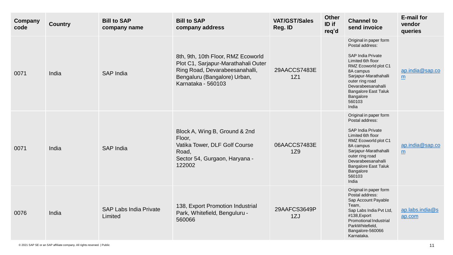| Company<br>code | <b>Country</b> | <b>Bill to SAP</b><br>company name       | <b>Bill to SAP</b><br>company address                                                                                                                             | <b>VAT/GST/Sales</b><br>Reg. ID | <b>Other</b><br>ID if<br>req'd | <b>Channel to</b><br>send invoice                                                                                                                                                                                                                                | <b>E-mail for</b><br>vendor<br>queries |
|-----------------|----------------|------------------------------------------|-------------------------------------------------------------------------------------------------------------------------------------------------------------------|---------------------------------|--------------------------------|------------------------------------------------------------------------------------------------------------------------------------------------------------------------------------------------------------------------------------------------------------------|----------------------------------------|
| 0071            | India          | <b>SAP India</b>                         | 8th, 9th, 10th Floor, RMZ Ecoworld<br>Plot C1, Sarjapur-Marathahali Outer<br>Ring Road, Devarabeesanahalli,<br>Bengaluru (Bangalore) Urban,<br>Karnataka - 560103 | 29AACCS7483E<br>1Z1             |                                | Original in paper form<br>Postal address:<br><b>SAP India Private</b><br>Limited 6th floor<br>RMZ Ecoworld plot C1<br>8A campus<br>Sarjapur-Marathahalli<br>outer ring road<br>Devarabeesanahalli<br><b>Bangalore East Taluk</b><br>Bangalore<br>560103<br>India | ap.india@sap.co<br>m                   |
| 0071            | India          | <b>SAP India</b>                         | Block A, Wing B, Ground & 2nd<br>Floor,<br>Vatika Tower, DLF Golf Course<br>Road,<br>Sector 54, Gurgaon, Haryana -<br>122002                                      | 06AACCS7483E<br>1Z9             |                                | Original in paper form<br>Postal address:<br><b>SAP India Private</b><br>Limited 6th floor<br>RMZ Ecoworld plot C1<br>8A campus<br>Sarjapur-Marathahalli<br>outer ring road<br>Devarabeesanahalli<br><b>Bangalore East Taluk</b><br>Bangalore<br>560103<br>India | ap.india@sap.co<br>m                   |
| 0076            | India          | <b>SAP Labs India Private</b><br>Limited | 138, Export Promotion Industrial<br>Park, Whitefield, Benguluru -<br>560066                                                                                       | 29AAFCS3649P<br>1ZJ             |                                | Original in paper form<br>Postal address:<br>Sap Account Payable<br>Team,<br>Sap Labs India Pvt Ltd,<br>#138, Export<br>Promotional Industrial<br>ParkWhitefield,<br>Bangalore-560066<br>Karnataka.                                                              | ap.labs.india@s<br>ap.com              |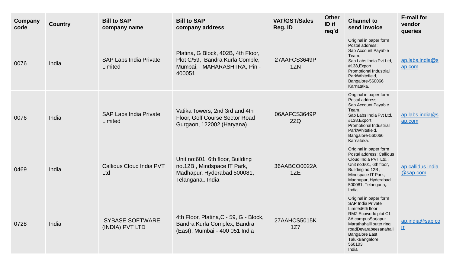| Company<br>code | <b>Country</b> | <b>Bill to SAP</b><br>company name        | <b>Bill to SAP</b><br>company address                                                                              | <b>VAT/GST/Sales</b><br>Reg. ID | <b>Other</b><br>ID if<br>req'd | <b>Channel to</b><br>send invoice                                                                                                                                                                                                       | <b>E-mail for</b><br>vendor<br>queries |
|-----------------|----------------|-------------------------------------------|--------------------------------------------------------------------------------------------------------------------|---------------------------------|--------------------------------|-----------------------------------------------------------------------------------------------------------------------------------------------------------------------------------------------------------------------------------------|----------------------------------------|
| 0076            | India          | <b>SAP Labs India Private</b><br>Limited  | Platina, G Block, 402B, 4th Floor,<br>Plot C/59, Bandra Kurla Comple,<br>Mumbai, MAHARASHTRA, Pin -<br>400051      | 27AAFCS3649P<br>1ZN             |                                | Original in paper form<br>Postal address:<br>Sap Account Payable<br>Team.<br>Sap Labs India Pvt Ltd,<br>#138, Export<br>Promotional Industrial<br>ParkWhitefield,<br>Bangalore-560066<br>Karnataka.                                     | $ap.$ labs.india $@s$<br>ap.com        |
| 0076            | India          | <b>SAP Labs India Private</b><br>Limited  | Vatika Towers, 2nd 3rd and 4th<br>Floor, Golf Course Sector Road<br>Gurgaon, 122002 (Haryana)                      | 06AAFCS3649P<br>2ZQ             |                                | Original in paper form<br>Postal address:<br>Sap Account Payable<br>Team.<br>Sap Labs India Pvt Ltd,<br>#138, Export<br>Promotional Industrial<br>ParkWhitefield,<br>Bangalore-560066<br>Karnataka.                                     | ap.labs.india@s<br>ap.com              |
| 0469            | India          | Callidus Cloud India PVT<br>Ltd           | Unit no:601, 6th floor, Building<br>no.12B, Mindspace IT Park,<br>Madhapur, Hyderabad 500081,<br>Telangana,. India | 36AABCO0022A<br>1ZE             |                                | Original in paper form<br>Postal address: Callidus<br>Cloud India PVT Ltd.,<br>Unit no:601, 6th floor,<br>Building no.12B,<br>Mindspace IT Park,<br>Madhapur, Hyderabad<br>500081, Telangana,.<br>India                                 | ap.callidus.india<br>@sap.com          |
| 0728            | India          | <b>SYBASE SOFTWARE</b><br>(INDIA) PVT LTD | 4th Floor, Platina, C - 59, G - Block,<br>Bandra Kurla Complex, Bandra<br>(East), Mumbai - 400 051 India           | 27AAHCS5015K<br>1Z7             |                                | Original in paper form<br><b>SAP India Private</b><br>Limited6th floor<br>RMZ Ecoworld plot C1<br>8A campusSarjapur-<br>Marathahalli outer ring<br>roadDevarabeesanahalli<br><b>Bangalore East</b><br>TalukBangalore<br>560103<br>India | ap.india@sap.co<br>$\underline{m}$     |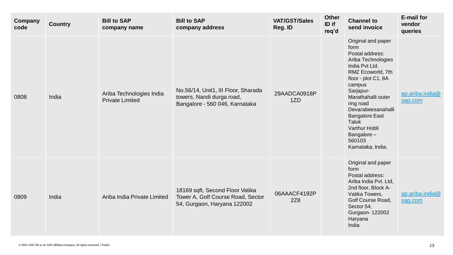| Company<br>code | <b>Country</b> | <b>Bill to SAP</b><br>company name                 | <b>Bill to SAP</b><br>company address                                                               | <b>VAT/GST/Sales</b><br>Reg. ID | <b>Other</b><br>ID if<br>req'd | <b>Channel to</b><br>send invoice                                                                                                                                                                                                                                                                                 | <b>E-mail for</b><br>vendor<br>queries |
|-----------------|----------------|----------------------------------------------------|-----------------------------------------------------------------------------------------------------|---------------------------------|--------------------------------|-------------------------------------------------------------------------------------------------------------------------------------------------------------------------------------------------------------------------------------------------------------------------------------------------------------------|----------------------------------------|
| 0808            | India          | Ariba Technologies India<br><b>Private Limited</b> | No.56/14, Unit1, III Floor, Sharada<br>towers, Nandi durga road,<br>Bangalore - 560 046, Karnataka  | 29AADCA0918P<br>1ZD             |                                | Original and paper<br>form<br>Postal address:<br>Ariba Technologies<br>India Pvt Ltd.<br>RMZ Ecoworld, 7th<br>floor - plot C1, 8A<br>campus<br>Sarjapur-<br>Marathahalli outer<br>ring road<br>Devarabeesanahalli<br><b>Bangalore East</b><br>Taluk<br>Varthur Hobli<br>Bangalore-<br>560103<br>Karnataka, India. | ap.ariba.india@<br>sap.com             |
| 0809            | India          | Ariba India Private Limited                        | 18169 sqft, Second Floor Vatika<br>Tower A, Golf Course Road, Sector<br>54, Gurgaon, Haryana 122002 | 06AAACF4192P<br>2Z8             |                                | Original and paper<br>form<br>Postal address:<br>Ariba India Pvt. Ltd,<br>2nd floor, Block A-<br>Vatika Towers,<br>Golf Course Road,<br>Sector 54,<br>Gurgaon-122002<br>Haryana<br>India                                                                                                                          | ap.ariba.india@<br>sap.com             |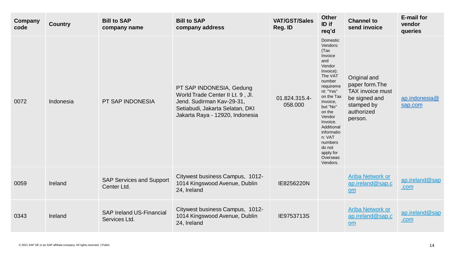| Company<br>code | <b>Country</b> | <b>Bill to SAP</b><br>company name               | <b>Bill to SAP</b><br>company address                                                                                                                           | <b>VAT/GST/Sales</b><br>Reg. ID | <b>Other</b><br>ID if<br>req'd                                                                                                                                                                                                                                                             | <b>Channel to</b><br>send invoice                                                                           | <b>E-mail for</b><br>vendor<br>queries |
|-----------------|----------------|--------------------------------------------------|-----------------------------------------------------------------------------------------------------------------------------------------------------------------|---------------------------------|--------------------------------------------------------------------------------------------------------------------------------------------------------------------------------------------------------------------------------------------------------------------------------------------|-------------------------------------------------------------------------------------------------------------|----------------------------------------|
| 0072            | Indonesia      | <b>PT SAP INDONESIA</b>                          | PT SAP INDONESIA, Gedung<br>World Trade Center II Lt. 9, Jl.<br>Jend. Sudirman Kav-29-31,<br>Setiabudi, Jakarta Selatan, DKI<br>Jakarta Raya - 12920, Indonesia | 01.824.315.4-<br>058.000        | Domestic<br>Vendors:<br>(Tax<br>Invoice<br>and<br>Vendor<br>Invoice):<br>The VAT<br>number<br>requireme<br>nt: "Yes"<br>on the Tax<br>Invoice,<br>but "No"<br>on the<br>Vendor<br>Invoice.<br>Additional<br>informatio<br>n: VAT<br>numbers<br>do not<br>apply for<br>Overseas<br>Vendors. | Original and<br>paper form. The<br>TAX invoice must<br>be signed and<br>stamped by<br>authorized<br>person. | ap.indonesia@<br>sap.com               |
| 0059            | Ireland        | <b>SAP Services and Support</b><br>Center Ltd.   | Citywest business Campus, 1012-<br>1014 Kingswood Avenue, Dublin<br>24, Ireland                                                                                 | IE8256220N                      |                                                                                                                                                                                                                                                                                            | <b>Ariba Network or</b><br>ap.ireland@sap.c<br>$om$                                                         | ap.ireland@sap<br>.com                 |
| 0343            | Ireland        | <b>SAP Ireland US-Financial</b><br>Services Ltd. | Citywest business Campus, 1012-<br>1014 Kingswood Avenue, Dublin<br>24, Ireland                                                                                 | IE9753713S                      |                                                                                                                                                                                                                                                                                            | <b>Ariba Network or</b><br>ap.ireland@sap.c<br>om                                                           | ap.ireland@sap<br>.com                 |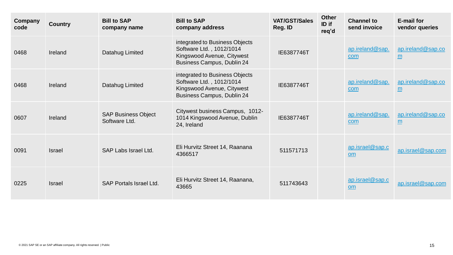| Company<br>code | <b>Country</b> | <b>Bill to SAP</b><br>company name          | <b>Bill to SAP</b><br>company address                                                                                  | <b>VAT/GST/Sales</b><br><b>Reg. ID</b> | <b>Other</b><br>ID if<br>req'd | <b>Channel to</b><br>send invoice | <b>E-mail for</b><br>vendor queries |
|-----------------|----------------|---------------------------------------------|------------------------------------------------------------------------------------------------------------------------|----------------------------------------|--------------------------------|-----------------------------------|-------------------------------------|
| 0468            | Ireland        | Datahug Limited                             | integrated to Business Objects<br>Software Ltd., 1012/1014<br>Kingswood Avenue, Citywest<br>Business Campus, Dublin 24 | IE6387746T                             |                                | ap.ireland@sap.<br>com            | ap.ireland@sap.co<br>m              |
| 0468            | Ireland        | Datahug Limited                             | integrated to Business Objects<br>Software Ltd., 1012/1014<br>Kingswood Avenue, Citywest<br>Business Campus, Dublin 24 | IE6387746T                             |                                | ap.ireland@sap.<br>com            | ap.ireland@sap.co<br>m              |
| 0607            | Ireland        | <b>SAP Business Object</b><br>Software Ltd. | Citywest business Campus, 1012-<br>1014 Kingswood Avenue, Dublin<br>24, Ireland                                        | IE6387746T                             |                                | ap.ireland@sap.<br>com            | ap.ireland@sap.co<br>m              |
| 0091            | <b>Israel</b>  | SAP Labs Israel Ltd.                        | Eli Hurvitz Street 14, Raanana<br>4366517                                                                              | 511571713                              |                                | ap.israel@sap.c<br>om             | ap.israel@sap.com                   |
| 0225            | <b>Israel</b>  | <b>SAP Portals Israel Ltd.</b>              | Eli Hurvitz Street 14, Raanana,<br>43665                                                                               | 511743643                              |                                | ap.israel@sap.c<br><b>om</b>      | ap.israel@sap.com                   |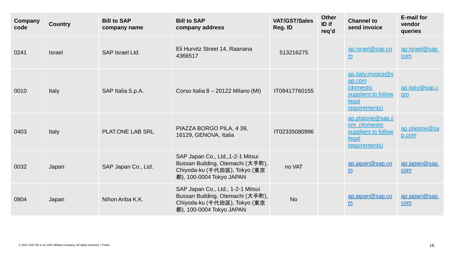| Company<br>code | <b>Country</b> | <b>Bill to SAP</b><br>company name | <b>Bill to SAP</b><br>company address                                                                                             | <b>VAT/GST/Sales</b><br>Reg. ID | <b>Other</b><br>ID if<br>req'd | <b>Channel to</b><br>send invoice                                                          | <b>E-mail for</b><br>vendor<br>queries |
|-----------------|----------------|------------------------------------|-----------------------------------------------------------------------------------------------------------------------------------|---------------------------------|--------------------------------|--------------------------------------------------------------------------------------------|----------------------------------------|
| 0241            | <b>Israel</b>  | SAP Israel Ltd.                    | Eli Hurvitz Street 14, Raanana<br>4366517                                                                                         | 513216275                       |                                | ap.israel@sap.co<br>m                                                                      | ap.israel@sap.<br>com                  |
| 0010            | Italy          | SAP Italia S.p.A.                  | Corso Italia 8 - 20122 Milano (MI)                                                                                                | IT09417760155                   |                                | ap.italy.invoice@s<br>ap.com<br>(domestic<br>suppliers to follow<br>legal<br>requirements) | ap.italy@sap.c<br><b>om</b>            |
| 0403            | <b>Italy</b>   | <b>PLAT.ONE LAB SRL</b>            | PIAZZA BORGO PILA, 439,<br>16129, GENOVA, Italia                                                                                  | IT02335080996                   |                                | ap.platone@sap.c<br>om (domestic<br>suppliers to follow<br>legal<br>requirements)          | ap.platone@sa<br>p.com                 |
| 0032            | Japan          | SAP Japan Co., Ltd.                | SAP Japan Co., Ltd., 1-2-1 Mitsui<br>Bussan Building, Otemachi (大手町),<br>Chiyoda-ku (千代田区), Tokyo (東京<br>都), 100-0004 Tokyo JAPAN | no VAT                          |                                | ap.japan@sap.co<br>m                                                                       | ap.japan@sap.<br>com                   |
| 0804            | Japan          | Nihon Ariba K.K.                   | SAP Japan Co., Ltd., 1-2-1 Mitsui<br>Bussan Building, Otemachi (大手町),<br>Chiyoda-ku (千代田区), Tokyo (東京<br>都), 100-0004 Tokyo JAPAN | <b>No</b>                       |                                | ap.japan@sap.co<br>m                                                                       | ap.japan@sap.<br>com                   |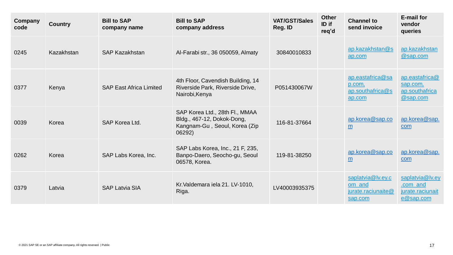| Company<br>code | <b>Country</b> | <b>Bill to SAP</b><br>company name | <b>Bill to SAP</b><br>company address                                                                   | <b>VAT/GST/Sales</b><br>Reg. ID | <b>Other</b><br>ID if<br>req'd | <b>Channel to</b><br>send invoice                               | <b>E-mail for</b><br>vendor<br>queries                       |
|-----------------|----------------|------------------------------------|---------------------------------------------------------------------------------------------------------|---------------------------------|--------------------------------|-----------------------------------------------------------------|--------------------------------------------------------------|
| 0245            | Kazakhstan     | <b>SAP Kazakhstan</b>              | Al-Farabi str., 36 050059, Almaty                                                                       | 30840010833                     |                                | ap.kazakhstan@s<br>ap.com                                       | ap.kazakhstan<br>@sap.com                                    |
| 0377            | Kenya          | <b>SAP East Africa Limited</b>     | 4th Floor, Cavendish Building, 14<br>Riverside Park, Riverside Drive,<br>Nairobi, Kenya                 | P051430067W                     |                                | ap.eastafrica@sa<br>p.com,<br>ap.southafrica@s<br>ap.com        | ap.eastafrica@<br>sap.com,<br>ap.southafrica<br>@sap.com     |
| 0039            | Korea          | SAP Korea Ltd.                     | SAP Korea Ltd., 28th Fl., MMAA<br>Bldg., 467-12, Dokok-Dong,<br>Kangnam-Gu, Seoul, Korea (Zip<br>06292) | 116-81-37664                    |                                | ap.korea@sap.co<br>m                                            | ap.korea@sap.<br>com                                         |
| 0262            | Korea          | SAP Labs Korea, Inc.               | SAP Labs Korea, Inc., 21 F, 235,<br>Banpo-Daero, Seocho-gu, Seoul<br>06578, Korea.                      | 119-81-38250                    |                                | ap.korea@sap.co<br>m                                            | ap.korea@sap.<br>com                                         |
| 0379            | Latvia         | <b>SAP Latvia SIA</b>              | Kr. Valdemara iela 21. LV-1010,<br>Riga.                                                                | LV40003935375                   |                                | saplatvia@lv.ey.c<br>om and<br>jurate.raciunaite $@$<br>sap.com | saplatvia@lv.ey<br>.com and<br>jurate.raciunait<br>e@sap.com |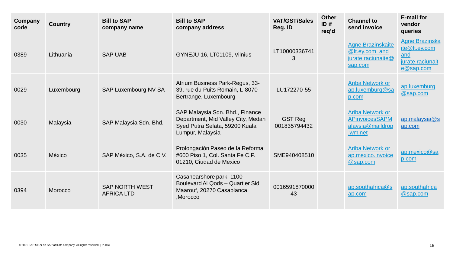| <b>Company</b><br>code | <b>Country</b> | <b>Bill to SAP</b><br>company name         | <b>Bill to SAP</b><br>company address                                                                                       | <b>VAT/GST/Sales</b><br>Reg. ID | <b>Other</b><br>ID if<br>req'd | <b>Channel to</b><br>send invoice                                               | <b>E-mail for</b><br>vendor<br>queries                                  |
|------------------------|----------------|--------------------------------------------|-----------------------------------------------------------------------------------------------------------------------------|---------------------------------|--------------------------------|---------------------------------------------------------------------------------|-------------------------------------------------------------------------|
| 0389                   | Lithuania      | <b>SAP UAB</b>                             | GYNEJU 16, LT01109, Vilnius                                                                                                 | LT10000336741<br>3              |                                | Agne.Brazinskaite<br>@It.ey.com and<br>jurate.raciunaite $@$<br>sap.com         | Agne.Brazinska<br>ite@lt.ey.com<br>and<br>jurate.raciunait<br>e@sap.com |
| 0029                   | Luxembourg     | SAP Luxembourg NV SA                       | Atrium Business Park-Regus, 33-<br>39, rue du Puits Romain, L-8070<br>Bertrange, Luxembourg                                 | LU172270-55                     |                                | <b>Ariba Network or</b><br>ap.luxemburg@sa<br>p.com                             | ap.luxemburg<br>@sap.com                                                |
| 0030                   | Malaysia       | SAP Malaysia Sdn. Bhd.                     | SAP Malaysia Sdn. Bhd., Finance<br>Department, Mid Valley City, Medan<br>Syed Putra Selata, 59200 Kuala<br>Lumpur, Malaysia | <b>GST Reg</b><br>001835794432  |                                | <b>Ariba Network or</b><br><b>APinvoicesSAPM</b><br>alaysia@maildrop<br>.wm.net | ap.malaysia@s<br>ap.com                                                 |
| 0035                   | México         | SAP México, S.A. de C.V.                   | Prolongación Paseo de la Reforma<br>#600 Piso 1, Col. Santa Fe C.P.<br>01210, Ciudad de Mexico                              | SME940408510                    |                                | <b>Ariba Network or</b><br>ap.mexico.invoice<br>@sap.com                        | ap.mexico@sa<br>p.com                                                   |
| 0394                   | Morocco        | <b>SAP NORTH WEST</b><br><b>AFRICA LTD</b> | Casanearshore park, 1100<br>Boulevard Al Qods - Quartier Sidi<br>Maarouf, 20270 Casablanca,<br>,Morocco                     | 0016591870000<br>43             |                                | ap.southafrica@s<br>ap.com                                                      | ap.southafrica<br>@sap.com                                              |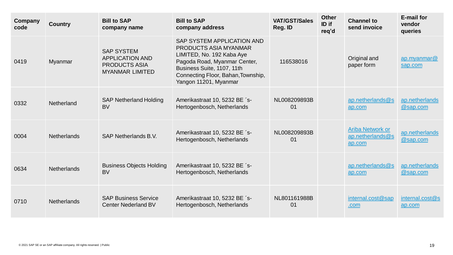| <b>Company</b><br>code | <b>Country</b>     | <b>Bill to SAP</b><br>company name                                                            | <b>Bill to SAP</b><br>company address                                                                                                                                                                                | <b>VAT/GST/Sales</b><br>Reg. ID | <b>Other</b><br>ID if<br>req'd | <b>Channel to</b><br>send invoice                     | <b>E-mail for</b><br>vendor<br>queries |
|------------------------|--------------------|-----------------------------------------------------------------------------------------------|----------------------------------------------------------------------------------------------------------------------------------------------------------------------------------------------------------------------|---------------------------------|--------------------------------|-------------------------------------------------------|----------------------------------------|
| 0419                   | Myanmar            | <b>SAP SYSTEM</b><br><b>APPLICATION AND</b><br><b>PRODUCTS ASIA</b><br><b>MYANMAR LIMITED</b> | SAP SYSTEM APPLICATION AND<br><b>PRODUCTS ASIA MYANMAR</b><br>LIMITED, No. 192 Kaba Aye<br>Pagoda Road, Myanmar Center,<br>Business Suite, 1107, 11th<br>Connecting Floor, Bahan, Township,<br>Yangon 11201, Myanmar | 116538016                       |                                | Original and<br>paper form                            | $ap.$ myanmar $@$<br>sap.com           |
| 0332                   | Netherland         | <b>SAP Netherland Holding</b><br><b>BV</b>                                                    | Amerikastraat 10, 5232 BE 's-<br>Hertogenbosch, Netherlands                                                                                                                                                          | NL008209893B<br>01              |                                | $ap.$ netherlands $@s$<br>ap.com                      | ap.netherlands<br>@sap.com             |
| 0004                   | <b>Netherlands</b> | SAP Netherlands B.V.                                                                          | Amerikastraat 10, 5232 BE 's-<br>Hertogenbosch, Netherlands                                                                                                                                                          | NL008209893B<br>01              |                                | <b>Ariba Network or</b><br>ap.netherlands@s<br>ap.com | ap.netherlands<br>@sap.com             |
| 0634                   | <b>Netherlands</b> | <b>Business Objects Holding</b><br><b>BV</b>                                                  | Amerikastraat 10, 5232 BE 's-<br>Hertogenbosch, Netherlands                                                                                                                                                          |                                 |                                | $ap.$ netherlands $@s$<br>ap.com                      | ap.netherlands<br>@sap.com             |
| 0710                   | <b>Netherlands</b> | <b>SAP Business Service</b><br><b>Center Nederland BV</b>                                     | Amerikastraat 10, 5232 BE 's-<br>Hertogenbosch, Netherlands                                                                                                                                                          | NL801161988B<br>01              |                                | internal.cost@sap<br>.com                             | internal.cost@s<br>ap.com              |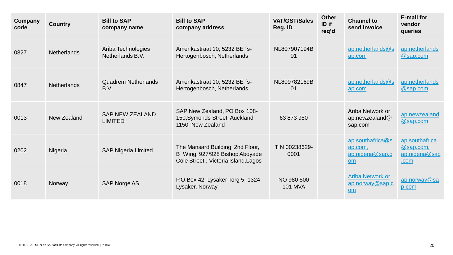| Company<br>code | <b>Country</b>     | <b>Bill to SAP</b><br>company name       | <b>Bill to SAP</b><br>company address                                                                      | <b>VAT/GST/Sales</b><br><b>Reg. ID</b> | <b>Other</b><br>ID if<br>req'd | <b>Channel to</b><br>send invoice                            | <b>E-mail for</b><br>vendor<br>queries                |
|-----------------|--------------------|------------------------------------------|------------------------------------------------------------------------------------------------------------|----------------------------------------|--------------------------------|--------------------------------------------------------------|-------------------------------------------------------|
| 0827            | <b>Netherlands</b> | Ariba Technologies<br>Netherlands B.V.   | Amerikastraat 10, 5232 BE 's-<br>Hertogenbosch, Netherlands                                                | NL807907194B<br>01                     |                                | $ap.$ netherlands $@s$<br>ap.com                             | ap.netherlands<br>@sap.com                            |
| 0847            | <b>Netherlands</b> | <b>Quadrem Netherlands</b><br>B.V.       | Amerikastraat 10, 5232 BE 's-<br>Hertogenbosch, Netherlands                                                | NL809782169B<br>01                     |                                | $ap.$ netherlands $@s$<br>ap.com                             | ap.netherlands<br>@sap.com                            |
| 0013            | New Zealand        | <b>SAP NEW ZEALAND</b><br><b>LIMITED</b> | SAP New Zealand, PO Box 108-<br>150, Symonds Street, Auckland<br>1150, New Zealand                         | 63 873 950                             |                                | Ariba Network or<br>ap.newzealand@<br>sap.com                | ap.newzealand<br>@sap.com                             |
| 0202            | Nigeria            | <b>SAP Nigeria Limited</b>               | The Mansard Building, 2nd Floor,<br>B Wing, 927/928 Bishop Aboyade<br>Cole Street,, Victoria Island, Lagos | TIN 00238629-<br>0001                  |                                | ap.southafrica@s<br>ap.com,<br>ap.nigeria@sap.c<br><b>om</b> | ap.southafrica<br>@sap.com,<br>ap.nigeria@sap<br>.com |
| 0018            | Norway             | SAP Norge AS                             | P.O.Box 42, Lysaker Torg 5, 1324<br>Lysaker, Norway                                                        | NO 980 500<br><b>101 MVA</b>           |                                | <b>Ariba Network or</b><br>ap.norway@sap.c<br><b>om</b>      | ap.norway@sa<br>p.com                                 |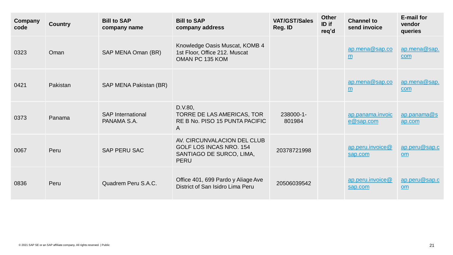| Company<br>code | <b>Country</b> | <b>Bill to SAP</b><br>company name      | <b>Bill to SAP</b><br>company address                                                             | <b>VAT/GST/Sales</b><br><b>Reg. ID</b> | <b>Other</b><br>ID if<br>req'd | <b>Channel to</b><br>send invoice | <b>E-mail for</b><br>vendor<br>queries |
|-----------------|----------------|-----------------------------------------|---------------------------------------------------------------------------------------------------|----------------------------------------|--------------------------------|-----------------------------------|----------------------------------------|
| 0323            | Oman           | SAP MENA Oman (BR)                      | Knowledge Oasis Muscat, KOMB 4<br>1st Floor, Office 212. Muscat<br>OMAN PC 135 KOM                |                                        |                                | ap.mena@sap.co<br>m               | ap.mena@sap.<br>com                    |
| 0421            | Pakistan       | SAP MENA Pakistan (BR)                  |                                                                                                   |                                        |                                | ap.mena@sap.co<br>m               | ap.mena@sap.<br>com                    |
| 0373            | Panama         | <b>SAP International</b><br>PANAMA S.A. | D.V.80,<br>TORRE DE LAS AMERICAS, TOR<br>RE B No. PISO 15 PUNTA PACIFIC<br>$\mathsf{A}$           | 238000-1-<br>801984                    |                                | ap.panama.invoic<br>e@sap.com     | ap.panama@s<br>ap.com                  |
| 0067            | Peru           | <b>SAP PERU SAC</b>                     | AV. CIRCUNVALACION DEL CLUB<br>GOLF LOS INCAS NRO. 154<br>SANTIAGO DE SURCO, LIMA,<br><b>PERU</b> | 20378721998                            |                                | $ap.$ peru.invoice@<br>sap.com    | ap.peru@sap.c<br><b>om</b>             |
| 0836            | Peru           | Quadrem Peru S.A.C.                     | Office 401, 699 Pardo y Aliage Ave<br>District of San Isidro Lima Peru                            | 20506039542                            |                                | $ap.$ peru.invoice@<br>sap.com    | ap.peru@sap.c<br>om                    |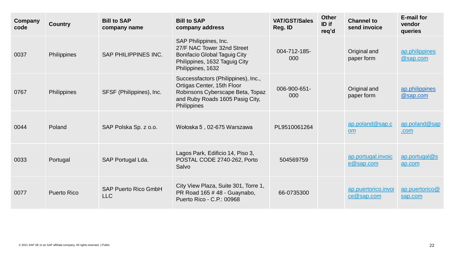| <b>Company</b><br>code | <b>Country</b>     | <b>Bill to SAP</b><br>company name        | <b>Bill to SAP</b><br>company address                                                                                                                   | <b>VAT/GST/Sales</b><br>Reg. ID | <b>Other</b><br>ID if<br>req'd | <b>Channel to</b><br>send invoice | <b>E-mail for</b><br>vendor<br>queries |
|------------------------|--------------------|-------------------------------------------|---------------------------------------------------------------------------------------------------------------------------------------------------------|---------------------------------|--------------------------------|-----------------------------------|----------------------------------------|
| 0037                   | Philippines        | <b>SAP PHILIPPINES INC.</b>               | SAP Philippines, Inc.<br>27/F NAC Tower 32nd Street<br><b>Bonifacio Global Taguig City</b><br>Philippines, 1632 Taguig City<br>Philippines, 1632        | 004-712-185-<br>000             |                                | Original and<br>paper form        | ap.philippines<br>@sap.com             |
| 0767                   | Philippines        | SFSF (Philippines), Inc.                  | Successfactors (Philippines), Inc.,<br>Ortigas Center, 15th Floor<br>Robinsons Cyberscape Beta, Topaz<br>and Ruby Roads 1605 Pasig City,<br>Philippines | 006-900-651-<br>000             |                                | Original and<br>paper form        | ap.philippines<br>@sap.com             |
| 0044                   | Poland             | SAP Polska Sp. z o.o.                     | Wołoska 5, 02-675 Warszawa                                                                                                                              | PL9510061264                    |                                | ap.poland@sap.c<br><b>om</b>      | ap.poland@sap<br>.com                  |
| 0033                   | Portugal           | SAP Portugal Lda.                         | Lagos Park, Edificio 14, Piso 3,<br>POSTAL CODE 2740-262, Porto<br>Salvo                                                                                | 504569759                       |                                | ap.portugal.invoic<br>e@sap.com   | $ap.$ portugal $@s$<br>ap.com          |
| 0077                   | <b>Puerto Rico</b> | <b>SAP Puerto Rico GmbH</b><br><b>LLC</b> | City View Plaza, Suite 301, Torre 1,<br>PR Road 165 #48 - Guaynabo,<br>Puerto Rico - C.P.: 00968                                                        | 66-0735300                      |                                | ap.puertorico.invoi<br>ce@sap.com | ap.puertorico@<br>sap.com              |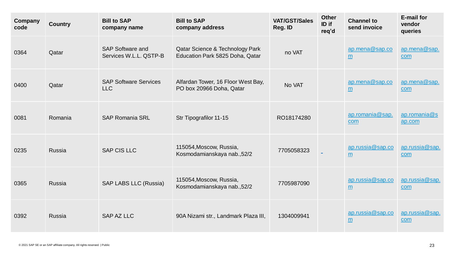| <b>Company</b><br>code | <b>Country</b> | <b>Bill to SAP</b><br>company name                | <b>Bill to SAP</b><br>company address                              | <b>VAT/GST/Sales</b><br>Reg. ID | <b>Other</b><br>ID if<br>req'd | <b>Channel to</b><br>send invoice | <b>E-mail for</b><br>vendor<br>queries |
|------------------------|----------------|---------------------------------------------------|--------------------------------------------------------------------|---------------------------------|--------------------------------|-----------------------------------|----------------------------------------|
| 0364                   | Qatar          | <b>SAP Software and</b><br>Services W.L.L. QSTP-B | Qatar Science & Technology Park<br>Education Park 5825 Doha, Qatar | no VAT                          |                                | ap.mena@sap.co<br>m               | ap.mena@sap.<br>com                    |
| 0400                   | Qatar          | <b>SAP Software Services</b><br><b>LLC</b>        | Alfardan Tower, 16 Floor West Bay,<br>PO box 20966 Doha, Qatar     | No VAT                          |                                | ap.mena@sap.co<br>m               | ap.mena@sap.<br>com                    |
| 0081                   | Romania        | <b>SAP Romania SRL</b>                            | Str Tipografilor 11-15                                             | RO18174280                      |                                | ap.romania@sap.<br>com            | $ap.$ romania $@s$<br>ap.com           |
| 0235                   | Russia         | <b>SAP CIS LLC</b>                                | 115054, Moscow, Russia,<br>Kosmodamianskaya nab., 52/2             | 7705058323                      |                                | ap.russia@sap.co<br>m             | ap.russia@sap.<br>com                  |
| 0365                   | Russia         | SAP LABS LLC (Russia)                             | 115054, Moscow, Russia,<br>Kosmodamianskaya nab., 52/2             | 7705987090                      |                                | ap.russia@sap.co<br>m             | ap.russia@sap.<br>com                  |
| 0392                   | Russia         | <b>SAP AZ LLC</b>                                 | 90A Nizami str., Landmark Plaza III,                               | 1304009941                      |                                | ap.russia@sap.co<br>m             | ap.russia@sap.<br>com                  |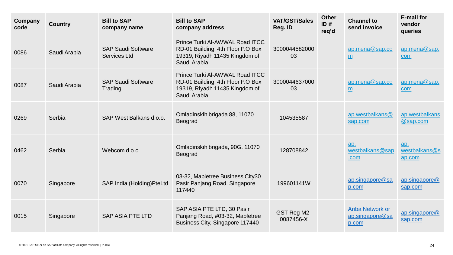| <b>Company</b><br>code | <b>Country</b> | <b>Bill to SAP</b><br>company name               | <b>Bill to SAP</b><br>company address                                                                                  | <b>VAT/GST/Sales</b><br>Reg. ID | <b>Other</b><br>ID if<br>req'd | <b>Channel to</b><br>send invoice            | <b>E-mail for</b><br>vendor<br>queries |
|------------------------|----------------|--------------------------------------------------|------------------------------------------------------------------------------------------------------------------------|---------------------------------|--------------------------------|----------------------------------------------|----------------------------------------|
| 0086                   | Saudi Arabia   | <b>SAP Saudi Software</b><br><b>Services Ltd</b> | Prince Turki Al-AWWAL Road ITCC<br>RD-01 Building, 4th Floor P.O Box<br>19319, Riyadh 11435 Kingdom of<br>Saudi Arabia | 3000044582000<br>03             |                                | ap.mena@sap.co<br>m                          | ap.mena@sap.<br>com                    |
| 0087                   | Saudi Arabia   | <b>SAP Saudi Software</b><br>Trading             | Prince Turki AI-AWWAL Road ITCC<br>RD-01 Building, 4th Floor P.O Box<br>19319, Riyadh 11435 Kingdom of<br>Saudi Arabia | 3000044637000<br>03             |                                | ap.mena@sap.co<br>m                          | ap.mena@sap.<br>com                    |
| 0269                   | Serbia         | SAP West Balkans d.o.o.                          | Omladinskih brigada 88, 11070<br>Beograd                                                                               | 104535587                       |                                | ap.westbalkans@<br>sap.com                   | ap.westbalkans<br>@sap.com             |
| 0462                   | Serbia         | Webcom d.o.o.                                    | Omladinskih brigada, 90G. 11070<br>Beograd                                                                             | 128708842                       |                                | ap.<br>westbalkans@sap<br>.com               | ap.<br>westbalkans@s<br>ap.com         |
| 0070                   | Singapore      | SAP India (Holding)PteLtd                        | 03-32, Mapletree Business City30<br>Pasir Panjang Road. Singapore<br>117440                                            | 199601141W                      |                                | ap.singapore@sa<br>p.com                     | ap.singapore $@$<br>sap.com            |
| 0015                   | Singapore      | <b>SAP ASIA PTE LTD</b>                          | SAP ASIA PTE LTD, 30 Pasir<br>Panjang Road, #03-32, Mapletree<br>Business City, Singapore 117440                       | GST Reg M2-<br>0087456-X        |                                | Ariba Network or<br>ap.singapore@sa<br>p.com | $ap.\sin$ gapore $@$<br>sap.com        |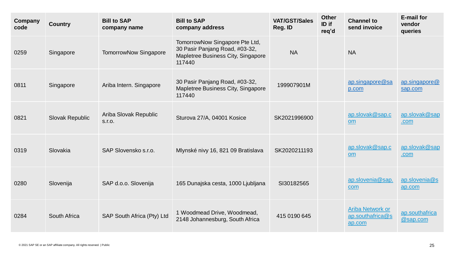| <b>Company</b><br>code | <b>Country</b>         | <b>Bill to SAP</b><br>company name | <b>Bill to SAP</b><br>company address                                                                            | <b>VAT/GST/Sales</b><br>Reg. ID | <b>Other</b><br>ID if<br>req'd | <b>Channel to</b><br>send invoice                     | <b>E-mail for</b><br>vendor<br>queries |
|------------------------|------------------------|------------------------------------|------------------------------------------------------------------------------------------------------------------|---------------------------------|--------------------------------|-------------------------------------------------------|----------------------------------------|
| 0259                   | Singapore              | <b>TomorrowNow Singapore</b>       | TomorrowNow Singapore Pte Ltd,<br>30 Pasir Panjang Road, #03-32,<br>Mapletree Business City, Singapore<br>117440 | <b>NA</b>                       |                                | <b>NA</b>                                             |                                        |
| 0811                   | Singapore              | Ariba Intern. Singapore            | 30 Pasir Panjang Road, #03-32,<br>Mapletree Business City, Singapore<br>117440                                   | 199907901M                      |                                | ap.singapore@sa<br>p.com                              | ap.singapore@<br>sap.com               |
| 0821                   | <b>Slovak Republic</b> | Ariba Slovak Republic<br>S.r.o.    | Sturova 27/A, 04001 Kosice                                                                                       | SK2021996900                    |                                | ap.slovak@sap.c<br><b>om</b>                          | ap.slovak@sap<br>.com                  |
| 0319                   | Slovakia               | SAP Slovensko s.r.o.               | Mlynské nivy 16, 821 09 Bratislava                                                                               | SK2020211193                    |                                | ap.slovak@sap.c<br><b>om</b>                          | ap.slovak@sap<br>.com                  |
| 0280                   | Slovenija              | SAP d.o.o. Slovenija               | 165 Dunajska cesta, 1000 Ljubljana                                                                               | SI30182565                      |                                | ap.slovenia@sap.<br>com                               | ap.slovenia@s<br>ap.com                |
| 0284                   | South Africa           | SAP South Africa (Pty) Ltd         | 1 Woodmead Drive, Woodmead,<br>2148 Johannesburg, South Africa                                                   | 415 0190 645                    |                                | <b>Ariba Network or</b><br>ap.southafrica@s<br>ap.com | ap.southafrica<br>@sap.com             |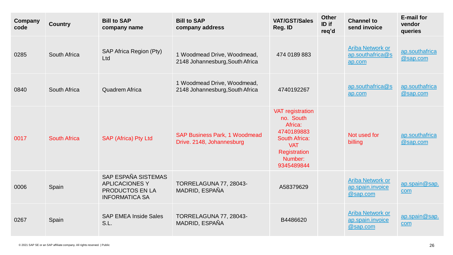| <b>Company</b><br>code | <b>Country</b>      | <b>Bill to SAP</b><br>company name                                                                     | <b>Bill to SAP</b><br>company address                             | <b>VAT/GST/Sales</b><br>Reg. ID                                                                                                              | <b>Other</b><br>ID if<br>req'd | <b>Channel to</b><br>send invoice                       | <b>E-mail for</b><br>vendor<br>queries |
|------------------------|---------------------|--------------------------------------------------------------------------------------------------------|-------------------------------------------------------------------|----------------------------------------------------------------------------------------------------------------------------------------------|--------------------------------|---------------------------------------------------------|----------------------------------------|
| 0285                   | South Africa        | SAP Africa Region (Pty)<br>Ltd                                                                         | 1 Woodmead Drive, Woodmead,<br>2148 Johannesburg, South Africa    | 474 0189 883                                                                                                                                 |                                | <b>Ariba Network or</b><br>ap.southafrica@s<br>ap.com   | ap.southafrica<br>@sap.com             |
| 0840                   | South Africa        | Quadrem Africa                                                                                         | 1 Woodmead Drive, Woodmead,<br>2148 Johannesburg, South Africa    | 4740192267                                                                                                                                   |                                | ap.southafrica@s<br>ap.com                              | ap.southafrica<br>@sap.com             |
| 0017                   | <b>South Africa</b> | SAP (Africa) Pty Ltd                                                                                   | <b>SAP Business Park, 1 Woodmead</b><br>Drive. 2148, Johannesburg | <b>VAT registration</b><br>no. South<br>Africa:<br>4740189883<br><b>South Africa:</b><br><b>VAT</b><br>Registration<br>Number:<br>9345489844 |                                | Not used for<br>billing                                 | ap.southafrica<br>@sap.com             |
| 0006                   | Spain               | <b>SAP ESPAÑA SISTEMAS</b><br><b>APLICACIONES Y</b><br><b>PRODUCTOS EN LA</b><br><b>INFORMATICA SA</b> | TORRELAGUNA 77, 28043-<br>MADRID, ESPAÑA                          | A58379629                                                                                                                                    |                                | <b>Ariba Network or</b><br>ap.spain.invoice<br>@sap.com | ap.spain@sap.<br>com                   |
| 0267                   | Spain               | <b>SAP EMEA Inside Sales</b><br>S.L.                                                                   | TORRELAGUNA 77, 28043-<br>MADRID, ESPAÑA                          | B4486620                                                                                                                                     |                                | <b>Ariba Network or</b><br>ap.spain.invoice<br>@sap.com | ap.spain@sap.<br>com                   |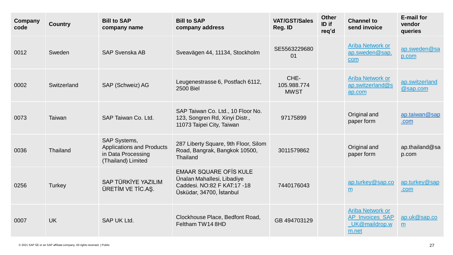| <b>Company</b><br>code | <b>Country</b> | <b>Bill to SAP</b><br>company name                                                                  | <b>Bill to SAP</b><br>company address                                                                                  | <b>VAT/GST/Sales</b><br>Reg. ID    | <b>Other</b><br>ID if<br>req'd | <b>Channel to</b><br>send invoice                                    | <b>E-mail for</b><br>vendor<br>queries |
|------------------------|----------------|-----------------------------------------------------------------------------------------------------|------------------------------------------------------------------------------------------------------------------------|------------------------------------|--------------------------------|----------------------------------------------------------------------|----------------------------------------|
| 0012                   | Sweden         | <b>SAP Svenska AB</b>                                                                               | Sveavägen 44, 11134, Stockholm                                                                                         | SE5563229680<br>01                 |                                | <b>Ariba Network or</b><br>ap.sweden@sap.<br>com                     | ap.sweden@sa<br>p.com                  |
| 0002                   | Switzerland    | SAP (Schweiz) AG                                                                                    | Leugenestrasse 6, Postfach 6112,<br><b>2500 Biel</b>                                                                   | CHE-<br>105.988.774<br><b>MWST</b> |                                | <b>Ariba Network or</b><br>ap.switzerland@s<br>ap.com                | ap.switzerland<br>@sap.com             |
| 0073                   | Taiwan         | SAP Taiwan Co. Ltd.                                                                                 | SAP Taiwan Co. Ltd., 10 Floor No.<br>123, Songren Rd, Xinyi Distr.,<br>11073 Taipei City, Taiwan                       | 97175899                           |                                | Original and<br>paper form                                           | ap.taiwan@sap<br>.com                  |
| 0036                   | Thailand       | <b>SAP Systems,</b><br><b>Applications and Products</b><br>in Data Processing<br>(Thailand) Limited | 287 Liberty Square, 9th Floor, Silom<br>Road, Bangrak, Bangkok 10500,<br>Thailand                                      | 3011579862                         |                                | Original and<br>paper form                                           | ap.thailand@sa<br>p.com                |
| 0256                   | Turkey         | SAP TÜRKİYE YAZILIM<br>ÜRETİM VE TİC.AŞ.                                                            | <b>EMAAR SQUARE OFIS KULE</b><br>Ünalan Mahallesi, Libadiye<br>Caddesi, NO:82 F KAT:17 -18<br>Üsküdar, 34700, İstanbul | 7440176043                         |                                | ap.turkey@sap.co<br>m                                                | ap.turkey@sap<br>.com                  |
| 0007                   | <b>UK</b>      | SAP UK Ltd.                                                                                         | Clockhouse Place, Bedfont Road,<br>Feltham TW14 8HD                                                                    | GB 494703129                       |                                | <b>Ariba Network or</b><br>AP Invoices SAP<br>UK@maildrop.w<br>m.net | ap.uk@sap.co<br>m                      |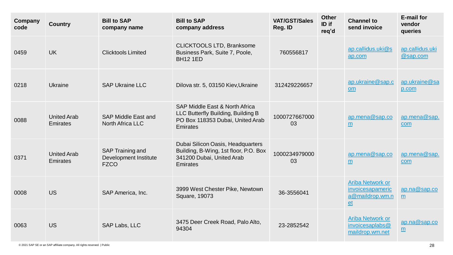| <b>Company</b><br>code | <b>Country</b>                 | <b>Bill to SAP</b><br>company name                              | <b>Bill to SAP</b><br>company address                                                                                           | <b>VAT/GST/Sales</b><br>Reg. ID | <b>Other</b><br>ID if<br>req'd | <b>Channel to</b><br>send invoice                                           | <b>E-mail for</b><br>vendor<br>queries |
|------------------------|--------------------------------|-----------------------------------------------------------------|---------------------------------------------------------------------------------------------------------------------------------|---------------------------------|--------------------------------|-----------------------------------------------------------------------------|----------------------------------------|
| 0459                   | <b>UK</b>                      | <b>Clicktools Limited</b>                                       | <b>CLICKTOOLS LTD, Branksome</b><br>Business Park, Suite 7, Poole,<br><b>BH12 1ED</b>                                           | 760556817                       |                                | $ap.$ callidus.uki $@s$<br>ap.com                                           | ap.callidus.uki<br>@sap.com            |
| 0218                   | <b>Ukraine</b>                 | <b>SAP Ukraine LLC</b>                                          | Dilova str. 5, 03150 Kiev, Ukraine                                                                                              | 312429226657                    |                                | ap.ukraine@sap.c<br><b>om</b>                                               | ap.ukraine@sa<br>p.com                 |
| 0088                   | <b>United Arab</b><br>Emirates | <b>SAP Middle East and</b><br><b>North Africa LLC</b>           | <b>SAP Middle East &amp; North Africa</b><br>LLC Butterfly Building, Building B<br>PO Box 118353 Dubai, United Arab<br>Emirates | 1000727667000<br>03             |                                | ap.mena@sap.co<br>m                                                         | ap.mena@sap.<br>com                    |
| 0371                   | <b>United Arab</b><br>Emirates | SAP Training and<br><b>Development Institute</b><br><b>FZCO</b> | Dubai Silicon Oasis, Headquarters<br>Building, B-Wing, 1st floor, P.O. Box<br>341200 Dubai, United Arab<br>Emirates             | 1000234979000<br>03             |                                | ap.mena@sap.co<br>m                                                         | ap.mena@sap.<br>com                    |
| 0008                   | <b>US</b>                      | SAP America, Inc.                                               | 3999 West Chester Pike, Newtown<br>Square, 19073                                                                                | 36-3556041                      |                                | <b>Ariba Network or</b><br>invoicesapameric<br>a@maildrop.wm.n<br><b>et</b> | ap.na@sap.co<br>m                      |
| 0063                   | <b>US</b>                      | SAP Labs, LLC                                                   | 3475 Deer Creek Road, Palo Alto,<br>94304                                                                                       | 23-2852542                      |                                | <b>Ariba Network or</b><br>invoicesaplabs@<br>maildrop.wm.net               | ap.na@sap.co<br>m                      |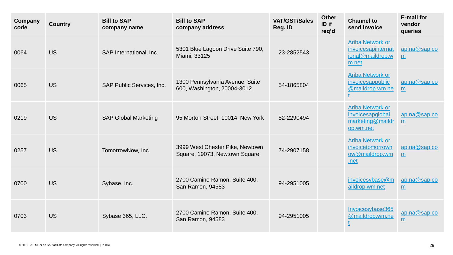| <b>Company</b><br>code | <b>Country</b> | <b>Bill to SAP</b><br>company name | <b>Bill to SAP</b><br>company address                            | <b>VAT/GST/Sales</b><br>Reg. ID | <b>Other</b><br>ID if<br>req'd | <b>Channel to</b><br>send invoice                                            | <b>E-mail for</b><br>vendor<br>queries |
|------------------------|----------------|------------------------------------|------------------------------------------------------------------|---------------------------------|--------------------------------|------------------------------------------------------------------------------|----------------------------------------|
| 0064                   | <b>US</b>      | SAP International, Inc.            | 5301 Blue Lagoon Drive Suite 790,<br>Miami, 33125                | 23-2852543                      |                                | <b>Ariba Network or</b><br>invoicesapinternat<br>ional@maildrop.w<br>m.net   | ap.na@sap.co<br>m                      |
| 0065                   | <b>US</b>      | SAP Public Services, Inc.          | 1300 Pennsylvania Avenue, Suite<br>600, Washington, 20004-3012   | 54-1865804                      |                                | <b>Ariba Network or</b><br>invoicesappublic<br>@maildrop.wm.ne               | ap.na@sap.co<br>m                      |
| 0219                   | <b>US</b>      | <b>SAP Global Marketing</b>        | 95 Morton Street, 10014, New York                                | 52-2290494                      |                                | <b>Ariba Network or</b><br>invoicesapglobal<br>marketing@maildr<br>op.wm.net | ap.na@sap.co<br>m                      |
| 0257                   | <b>US</b>      | TomorrowNow, Inc.                  | 3999 West Chester Pike, Newtown<br>Square, 19073, Newtown Square | 74-2907158                      |                                | <b>Ariba Network or</b><br>invoicetomorrown<br>ow@maildrop.wm<br>.net        | ap.na@sap.co<br>m                      |
| 0700                   | <b>US</b>      | Sybase, Inc.                       | 2700 Camino Ramon, Suite 400,<br>San Ramon, 94583                | 94-2951005                      |                                | invoicesybase@m<br>aildrop.wm.net                                            | $ap$ .na@sap.co<br>m                   |
| 0703                   | <b>US</b>      | Sybase 365, LLC.                   | 2700 Camino Ramon, Suite 400,<br>San Ramon, 94583                | 94-2951005                      |                                | Invoicesybase365<br>@maildrop.wm.ne                                          | ap.na@sap.co<br>m                      |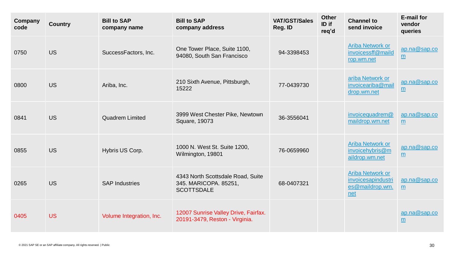| <b>Company</b><br>code | <b>Country</b> | <b>Bill to SAP</b><br>company name | <b>Bill to SAP</b><br>company address                                           | <b>VAT/GST/Sales</b><br>Reg. ID | <b>Other</b><br>ID if<br>req'd | <b>Channel to</b><br>send invoice                                       | <b>E-mail for</b><br>vendor<br>queries |
|------------------------|----------------|------------------------------------|---------------------------------------------------------------------------------|---------------------------------|--------------------------------|-------------------------------------------------------------------------|----------------------------------------|
| 0750                   | <b>US</b>      | SuccessFactors, Inc.               | One Tower Place, Suite 1100,<br>94080, South San Francisco                      | 94-3398453                      |                                | <b>Ariba Network or</b><br>invoicessff@maild<br>rop.wm.net              | ap.na@sap.co<br>$\underline{m}$        |
| 0800                   | <b>US</b>      | Ariba, Inc.                        | 210 Sixth Avenue, Pittsburgh,<br>15222                                          | 77-0439730                      |                                | ariba Network or<br>invoiceariba@mail<br>drop.wm.net                    | ap.na@sap.co<br>$\underline{m}$        |
| 0841                   | <b>US</b>      | <b>Quadrem Limited</b>             | 3999 West Chester Pike, Newtown<br>Square, 19073                                | 36-3556041                      |                                | invoicequadrem@<br>maildrop.wm.net                                      | ap.na@sap.co<br>m                      |
| 0855                   | <b>US</b>      | Hybris US Corp.                    | 1000 N. West St. Suite 1200,<br>Wilmington, 19801                               | 76-0659960                      |                                | <b>Ariba Network or</b><br>invoicehybris@m<br>aildrop.wm.net            | ap.na@sap.co<br>$\underline{m}$        |
| 0265                   | <b>US</b>      | <b>SAP Industries</b>              | 4343 North Scottsdale Road, Suite<br>345. MARICOPA. 85251,<br><b>SCOTTSDALE</b> | 68-0407321                      |                                | <b>Ariba Network or</b><br>invoicesapindustri<br>es@maildrop.wm.<br>net | ap.na@sap.co<br>m                      |
| 0405                   | <b>US</b>      | Volume Integration, Inc.           | 12007 Sunrise Valley Drive, Fairfax.<br>20191-3479, Reston - Virginia.          |                                 |                                |                                                                         | ap.na@sap.co<br>$\underline{m}$        |